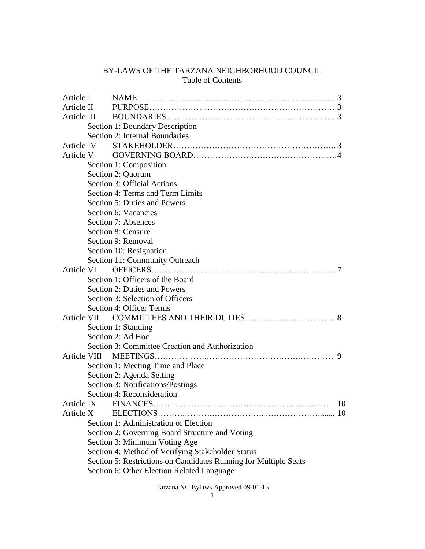# BY-LAWS OF THE TARZANA NEIGHBORHOOD COUNCIL Table of Contents

| Article I  |           |                                                                  |           |
|------------|-----------|------------------------------------------------------------------|-----------|
| Article II |           |                                                                  |           |
|            |           |                                                                  |           |
|            |           | Section 1: Boundary Description                                  |           |
|            |           | Section 2: Internal Boundaries                                   |           |
| Article IV |           |                                                                  |           |
|            | Article V |                                                                  |           |
|            |           | Section 1: Composition                                           |           |
|            |           | Section 2: Quorum                                                |           |
|            |           | Section 3: Official Actions                                      |           |
|            |           | Section 4: Terms and Term Limits                                 |           |
|            |           | <b>Section 5: Duties and Powers</b>                              |           |
|            |           | Section 6: Vacancies                                             |           |
|            |           | Section 7: Absences                                              |           |
|            |           | Section 8: Censure                                               |           |
|            |           | Section 9: Removal                                               |           |
|            |           | Section 10: Resignation                                          |           |
|            |           | Section 11: Community Outreach                                   |           |
|            |           |                                                                  |           |
|            |           | Section 1: Officers of the Board                                 |           |
|            |           | Section 2: Duties and Powers                                     |           |
|            |           | Section 3: Selection of Officers                                 |           |
|            |           | Section 4: Officer Terms                                         |           |
|            |           |                                                                  |           |
|            |           | Section 1: Standing                                              |           |
|            |           | Section 2: Ad Hoc                                                |           |
|            |           | Section 3: Committee Creation and Authorization                  |           |
|            |           |                                                                  | 9         |
|            |           | Section 1: Meeting Time and Place                                |           |
|            |           | Section 2: Agenda Setting                                        |           |
|            |           | Section 3: Notifications/Postings                                |           |
|            |           | Section 4: Reconsideration                                       |           |
|            |           |                                                                  | <b>10</b> |
| Article X  |           |                                                                  |           |
|            |           | Section 1: Administration of Election                            |           |
|            |           | Section 2: Governing Board Structure and Voting                  |           |
|            |           | Section 3: Minimum Voting Age                                    |           |
|            |           | Section 4: Method of Verifying Stakeholder Status                |           |
|            |           | Section 5: Restrictions on Candidates Running for Multiple Seats |           |
|            |           | Section 6: Other Election Related Language                       |           |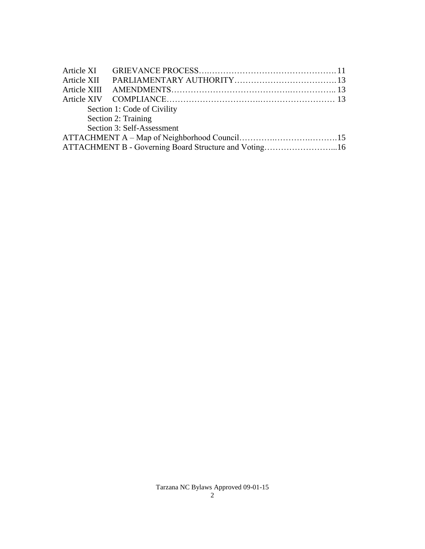|                     |  | Section 1: Code of Civility                           |  |  |  |  |
|---------------------|--|-------------------------------------------------------|--|--|--|--|
| Section 2: Training |  |                                                       |  |  |  |  |
|                     |  | Section 3: Self-Assessment                            |  |  |  |  |
|                     |  |                                                       |  |  |  |  |
|                     |  | ATTACHMENT B - Governing Board Structure and Voting16 |  |  |  |  |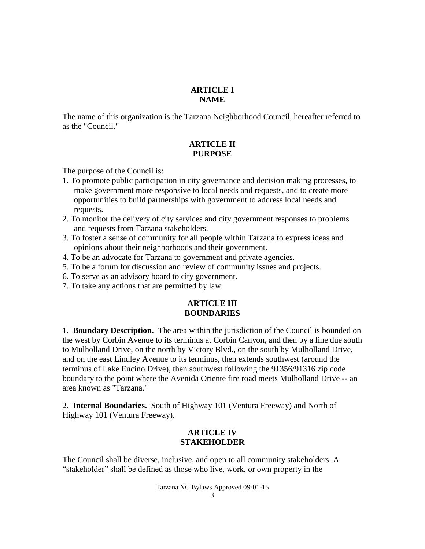#### **ARTICLE I NAME**

The name of this organization is the Tarzana Neighborhood Council, hereafter referred to as the "Council."

### **ARTICLE II PURPOSE**

The purpose of the Council is:

- 1. To promote public participation in city governance and decision making processes, to make government more responsive to local needs and requests, and to create more opportunities to build partnerships with government to address local needs and requests.
- 2. To monitor the delivery of city services and city government responses to problems and requests from Tarzana stakeholders.
- 3. To foster a sense of community for all people within Tarzana to express ideas and opinions about their neighborhoods and their government.
- 4. To be an advocate for Tarzana to government and private agencies.
- 5. To be a forum for discussion and review of community issues and projects.
- 6. To serve as an advisory board to city government.
- 7. To take any actions that are permitted by law.

## **ARTICLE III BOUNDARIES**

1. **Boundary Description.** The area within the jurisdiction of the Council is bounded on the west by Corbin Avenue to its terminus at Corbin Canyon, and then by a line due south to Mulholland Drive, on the north by Victory Blvd., on the south by Mulholland Drive, and on the east Lindley Avenue to its terminus, then extends southwest (around the terminus of Lake Encino Drive), then southwest following the 91356/91316 zip code boundary to the point where the Avenida Oriente fire road meets Mulholland Drive -- an area known as "Tarzana."

2. **Internal Boundaries.** South of Highway 101 (Ventura Freeway) and North of Highway 101 (Ventura Freeway).

### **ARTICLE IV STAKEHOLDER**

The Council shall be diverse, inclusive, and open to all community stakeholders. A "stakeholder" shall be defined as those who live, work, or own property in the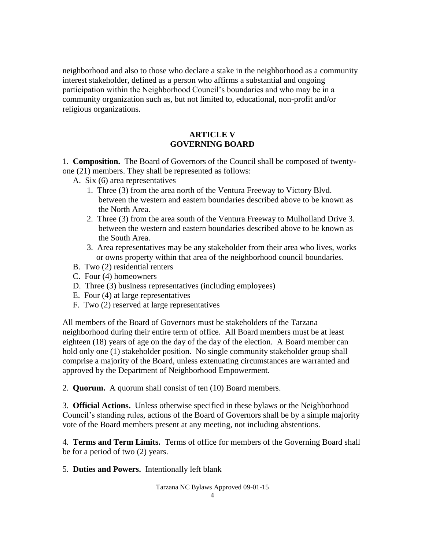neighborhood and also to those who declare a stake in the neighborhood as a community interest stakeholder, defined as a person who affirms a substantial and ongoing participation within the Neighborhood Council's boundaries and who may be in a community organization such as, but not limited to, educational, non-profit and/or religious organizations.

### **ARTICLE V GOVERNING BOARD**

1. **Composition.** The Board of Governors of the Council shall be composed of twentyone (21) members. They shall be represented as follows:

- A. Six (6) area representatives
	- 1. Three (3) from the area north of the Ventura Freeway to Victory Blvd. between the western and eastern boundaries described above to be known as the North Area.
	- 2. Three (3) from the area south of the Ventura Freeway to Mulholland Drive 3. between the western and eastern boundaries described above to be known as the South Area.
	- 3. Area representatives may be any stakeholder from their area who lives, works or owns property within that area of the neighborhood council boundaries.
- B. Two (2) residential renters
- C. Four (4) homeowners
- D. Three (3) business representatives (including employees)
- E. Four (4) at large representatives
- F. Two (2) reserved at large representatives

All members of the Board of Governors must be stakeholders of the Tarzana neighborhood during their entire term of office. All Board members must be at least eighteen (18) years of age on the day of the day of the election. A Board member can hold only one (1) stakeholder position. No single community stakeholder group shall comprise a majority of the Board, unless extenuating circumstances are warranted and approved by the Department of Neighborhood Empowerment.

2. **Quorum.** A quorum shall consist of ten (10) Board members.

3. **Official Actions.** Unless otherwise specified in these bylaws or the Neighborhood Council's standing rules, actions of the Board of Governors shall be by a simple majority vote of the Board members present at any meeting, not including abstentions.

4. **Terms and Term Limits.** Terms of office for members of the Governing Board shall be for a period of two (2) years.

5. **Duties and Powers.** Intentionally left blank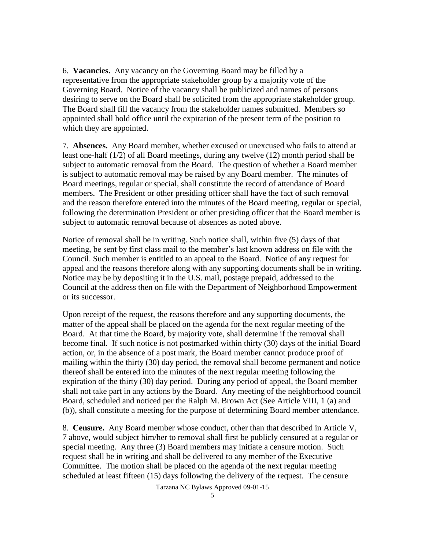6. **Vacancies.** Any vacancy on the Governing Board may be filled by a representative from the appropriate stakeholder group by a majority vote of the Governing Board. Notice of the vacancy shall be publicized and names of persons desiring to serve on the Board shall be solicited from the appropriate stakeholder group. The Board shall fill the vacancy from the stakeholder names submitted. Members so appointed shall hold office until the expiration of the present term of the position to which they are appointed.

7. **Absences.** Any Board member, whether excused or unexcused who fails to attend at least one-half (1/2) of all Board meetings, during any twelve (12) month period shall be subject to automatic removal from the Board. The question of whether a Board member is subject to automatic removal may be raised by any Board member. The minutes of Board meetings, regular or special, shall constitute the record of attendance of Board members. The President or other presiding officer shall have the fact of such removal and the reason therefore entered into the minutes of the Board meeting, regular or special, following the determination President or other presiding officer that the Board member is subject to automatic removal because of absences as noted above.

Notice of removal shall be in writing. Such notice shall, within five (5) days of that meeting, be sent by first class mail to the member's last known address on file with the Council. Such member is entitled to an appeal to the Board. Notice of any request for appeal and the reasons therefore along with any supporting documents shall be in writing. Notice may be by depositing it in the U.S. mail, postage prepaid, addressed to the Council at the address then on file with the Department of Neighborhood Empowerment or its successor.

Upon receipt of the request, the reasons therefore and any supporting documents, the matter of the appeal shall be placed on the agenda for the next regular meeting of the Board. At that time the Board, by majority vote, shall determine if the removal shall become final. If such notice is not postmarked within thirty (30) days of the initial Board action, or, in the absence of a post mark, the Board member cannot produce proof of mailing within the thirty (30) day period, the removal shall become permanent and notice thereof shall be entered into the minutes of the next regular meeting following the expiration of the thirty (30) day period. During any period of appeal, the Board member shall not take part in any actions by the Board. Any meeting of the neighborhood council Board, scheduled and noticed per the Ralph M. Brown Act (See Article VIII, 1 (a) and (b)), shall constitute a meeting for the purpose of determining Board member attendance.

8. **Censure.** Any Board member whose conduct, other than that described in Article V, 7 above, would subject him/her to removal shall first be publicly censured at a regular or special meeting. Any three (3) Board members may initiate a censure motion. Such request shall be in writing and shall be delivered to any member of the Executive Committee. The motion shall be placed on the agenda of the next regular meeting scheduled at least fifteen (15) days following the delivery of the request. The censure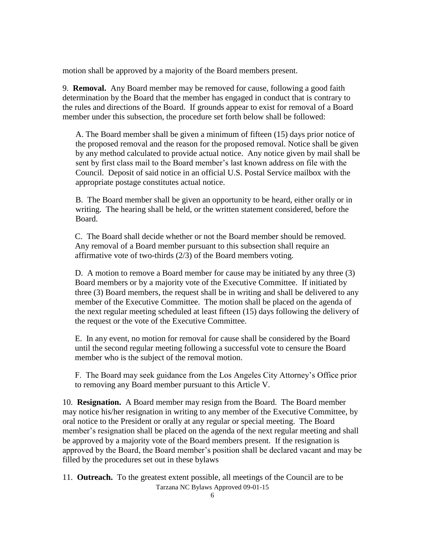motion shall be approved by a majority of the Board members present.

9. **Removal.** Any Board member may be removed for cause, following a good faith determination by the Board that the member has engaged in conduct that is contrary to the rules and directions of the Board. If grounds appear to exist for removal of a Board member under this subsection, the procedure set forth below shall be followed:

 A. The Board member shall be given a minimum of fifteen (15) days prior notice of the proposed removal and the reason for the proposed removal. Notice shall be given by any method calculated to provide actual notice. Any notice given by mail shall be sent by first class mail to the Board member's last known address on file with the Council. Deposit of said notice in an official U.S. Postal Service mailbox with the appropriate postage constitutes actual notice.

B. The Board member shall be given an opportunity to be heard, either orally or in writing. The hearing shall be held, or the written statement considered, before the Board.

C. The Board shall decide whether or not the Board member should be removed. Any removal of a Board member pursuant to this subsection shall require an affirmative vote of two-thirds (2/3) of the Board members voting.

D. A motion to remove a Board member for cause may be initiated by any three (3) Board members or by a majority vote of the Executive Committee. If initiated by three (3) Board members, the request shall be in writing and shall be delivered to any member of the Executive Committee. The motion shall be placed on the agenda of the next regular meeting scheduled at least fifteen (15) days following the delivery of the request or the vote of the Executive Committee.

E. In any event, no motion for removal for cause shall be considered by the Board until the second regular meeting following a successful vote to censure the Board member who is the subject of the removal motion.

 F. The Board may seek guidance from the Los Angeles City Attorney's Office prior to removing any Board member pursuant to this Article V.

10. **Resignation.** A Board member may resign from the Board. The Board member may notice his/her resignation in writing to any member of the Executive Committee, by oral notice to the President or orally at any regular or special meeting. The Board member's resignation shall be placed on the agenda of the next regular meeting and shall be approved by a majority vote of the Board members present. If the resignation is approved by the Board, the Board member's position shall be declared vacant and may be filled by the procedures set out in these bylaws

Tarzana NC Bylaws Approved 09-01-15 11. **Outreach.** To the greatest extent possible, all meetings of the Council are to be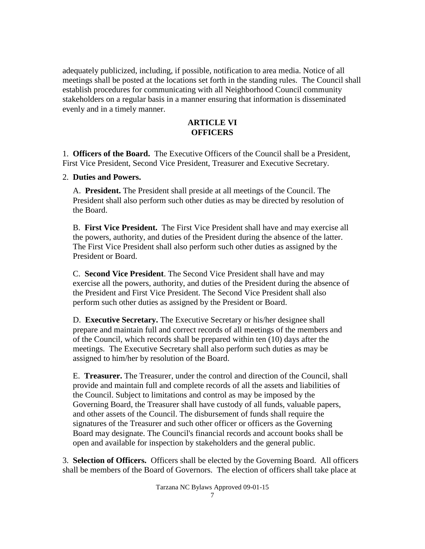adequately publicized, including, if possible, notification to area media. Notice of all meetings shall be posted at the locations set forth in the standing rules. The Council shall establish procedures for communicating with all Neighborhood Council community stakeholders on a regular basis in a manner ensuring that information is disseminated evenly and in a timely manner.

### **ARTICLE VI OFFICERS**

1. **Officers of the Board.** The Executive Officers of the Council shall be a President, First Vice President, Second Vice President, Treasurer and Executive Secretary.

### 2. **Duties and Powers.**

 A. **President.** The President shall preside at all meetings of the Council. The President shall also perform such other duties as may be directed by resolution of the Board.

 B. **First Vice President.** The First Vice President shall have and may exercise all the powers, authority, and duties of the President during the absence of the latter. The First Vice President shall also perform such other duties as assigned by the President or Board.

 C. **Second Vice President**. The Second Vice President shall have and may exercise all the powers, authority, and duties of the President during the absence of the President and First Vice President. The Second Vice President shall also perform such other duties as assigned by the President or Board.

 D. **Executive Secretary.** The Executive Secretary or his/her designee shall prepare and maintain full and correct records of all meetings of the members and of the Council, which records shall be prepared within ten (10) days after the meetings. The Executive Secretary shall also perform such duties as may be assigned to him/her by resolution of the Board.

 E. **Treasurer.** The Treasurer, under the control and direction of the Council, shall provide and maintain full and complete records of all the assets and liabilities of the Council. Subject to limitations and control as may be imposed by the Governing Board, the Treasurer shall have custody of all funds, valuable papers, and other assets of the Council. The disbursement of funds shall require the signatures of the Treasurer and such other officer or officers as the Governing Board may designate. The Council's financial records and account books shall be open and available for inspection by stakeholders and the general public.

3. **Selection of Officers.** Officers shall be elected by the Governing Board. All officers shall be members of the Board of Governors. The election of officers shall take place at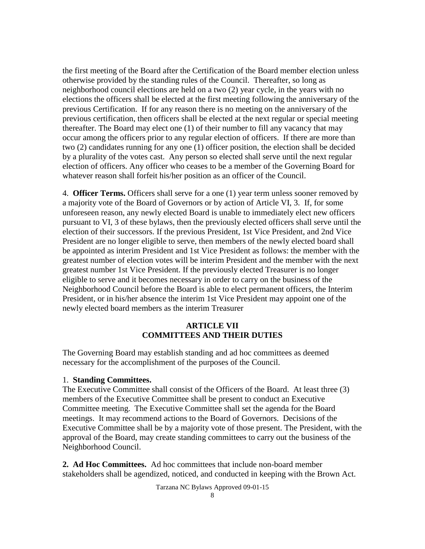the first meeting of the Board after the Certification of the Board member election unless otherwise provided by the standing rules of the Council. Thereafter, so long as neighborhood council elections are held on a two (2) year cycle, in the years with no elections the officers shall be elected at the first meeting following the anniversary of the previous Certification. If for any reason there is no meeting on the anniversary of the previous certification, then officers shall be elected at the next regular or special meeting thereafter. The Board may elect one (1) of their number to fill any vacancy that may occur among the officers prior to any regular election of officers. If there are more than two (2) candidates running for any one (1) officer position, the election shall be decided by a plurality of the votes cast. Any person so elected shall serve until the next regular election of officers. Any officer who ceases to be a member of the Governing Board for whatever reason shall forfeit his/her position as an officer of the Council.

4. **Officer Terms.** Officers shall serve for a one (1) year term unless sooner removed by a majority vote of the Board of Governors or by action of Article VI, 3. If, for some unforeseen reason, any newly elected Board is unable to immediately elect new officers pursuant to VI, 3 of these bylaws, then the previously elected officers shall serve until the election of their successors. If the previous President, 1st Vice President, and 2nd Vice President are no longer eligible to serve, then members of the newly elected board shall be appointed as interim President and 1st Vice President as follows: the member with the greatest number of election votes will be interim President and the member with the next greatest number 1st Vice President. If the previously elected Treasurer is no longer eligible to serve and it becomes necessary in order to carry on the business of the Neighborhood Council before the Board is able to elect permanent officers, the Interim President, or in his/her absence the interim 1st Vice President may appoint one of the newly elected board members as the interim Treasurer

### **ARTICLE VII COMMITTEES AND THEIR DUTIES**

The Governing Board may establish standing and ad hoc committees as deemed necessary for the accomplishment of the purposes of the Council.

#### 1. **Standing Committees.**

The Executive Committee shall consist of the Officers of the Board. At least three (3) members of the Executive Committee shall be present to conduct an Executive Committee meeting. The Executive Committee shall set the agenda for the Board meetings. It may recommend actions to the Board of Governors. Decisions of the Executive Committee shall be by a majority vote of those present. The President, with the approval of the Board, may create standing committees to carry out the business of the Neighborhood Council.

**2. Ad Hoc Committees.** Ad hoc committees that include non-board member stakeholders shall be agendized, noticed, and conducted in keeping with the Brown Act.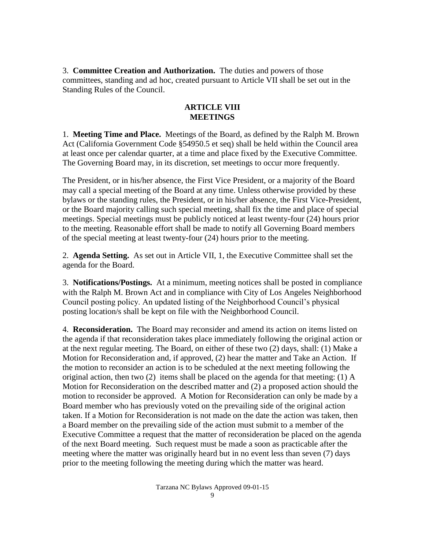3. **Committee Creation and Authorization.** The duties and powers of those committees, standing and ad hoc, created pursuant to Article VII shall be set out in the Standing Rules of the Council.

### **ARTICLE VIII MEETINGS**

1. **Meeting Time and Place.** Meetings of the Board, as defined by the Ralph M. Brown Act (California Government Code §54950.5 et seq) shall be held within the Council area at least once per calendar quarter, at a time and place fixed by the Executive Committee. The Governing Board may, in its discretion, set meetings to occur more frequently.

The President, or in his/her absence, the First Vice President, or a majority of the Board may call a special meeting of the Board at any time. Unless otherwise provided by these bylaws or the standing rules, the President, or in his/her absence, the First Vice-President, or the Board majority calling such special meeting, shall fix the time and place of special meetings. Special meetings must be publicly noticed at least twenty-four (24) hours prior to the meeting. Reasonable effort shall be made to notify all Governing Board members of the special meeting at least twenty-four (24) hours prior to the meeting.

2. **Agenda Setting.** As set out in Article VII, 1, the Executive Committee shall set the agenda for the Board.

3. **Notifications/Postings.** At a minimum, meeting notices shall be posted in compliance with the Ralph M. Brown Act and in compliance with City of Los Angeles Neighborhood Council posting policy. An updated listing of the Neighborhood Council's physical posting location/s shall be kept on file with the Neighborhood Council.

4. **Reconsideration.** The Board may reconsider and amend its action on items listed on the agenda if that reconsideration takes place immediately following the original action or at the next regular meeting. The Board, on either of these two (2) days, shall: (1) Make a Motion for Reconsideration and, if approved, (2) hear the matter and Take an Action. If the motion to reconsider an action is to be scheduled at the next meeting following the original action, then two (2) items shall be placed on the agenda for that meeting: (1) A Motion for Reconsideration on the described matter and (2) a proposed action should the motion to reconsider be approved. A Motion for Reconsideration can only be made by a Board member who has previously voted on the prevailing side of the original action taken. If a Motion for Reconsideration is not made on the date the action was taken, then a Board member on the prevailing side of the action must submit to a member of the Executive Committee a request that the matter of reconsideration be placed on the agenda of the next Board meeting. Such request must be made a soon as practicable after the meeting where the matter was originally heard but in no event less than seven (7) days prior to the meeting following the meeting during which the matter was heard.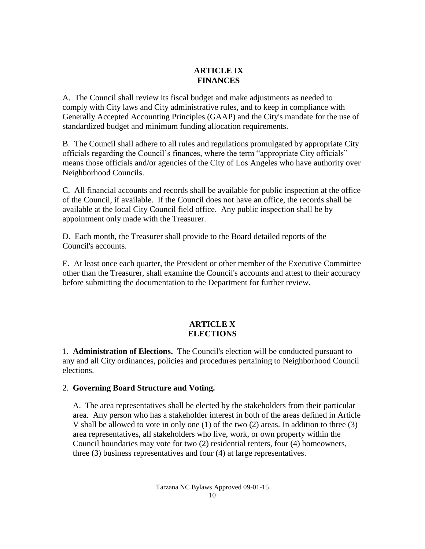## **ARTICLE IX FINANCES**

A. The Council shall review its fiscal budget and make adjustments as needed to comply with City laws and City administrative rules, and to keep in compliance with Generally Accepted Accounting Principles (GAAP) and the City's mandate for the use of standardized budget and minimum funding allocation requirements.

B. The Council shall adhere to all rules and regulations promulgated by appropriate City officials regarding the Council's finances, where the term "appropriate City officials" means those officials and/or agencies of the City of Los Angeles who have authority over Neighborhood Councils.

C. All financial accounts and records shall be available for public inspection at the office of the Council, if available. If the Council does not have an office, the records shall be available at the local City Council field office. Any public inspection shall be by appointment only made with the Treasurer.

D. Each month, the Treasurer shall provide to the Board detailed reports of the Council's accounts.

E. At least once each quarter, the President or other member of the Executive Committee other than the Treasurer, shall examine the Council's accounts and attest to their accuracy before submitting the documentation to the Department for further review.

## **ARTICLE X ELECTIONS**

1. **Administration of Elections.** The Council's election will be conducted pursuant to any and all City ordinances, policies and procedures pertaining to Neighborhood Council elections.

## 2. **Governing Board Structure and Voting.**

 A. The area representatives shall be elected by the stakeholders from their particular area. Any person who has a stakeholder interest in both of the areas defined in Article V shall be allowed to vote in only one (1) of the two (2) areas. In addition to three (3) area representatives, all stakeholders who live, work, or own property within the Council boundaries may vote for two (2) residential renters, four (4) homeowners, three (3) business representatives and four (4) at large representatives.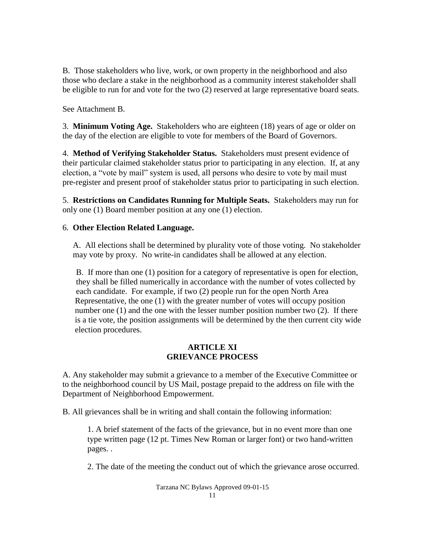B. Those stakeholders who live, work, or own property in the neighborhood and also those who declare a stake in the neighborhood as a community interest stakeholder shall be eligible to run for and vote for the two (2) reserved at large representative board seats.

See Attachment B.

3. **Minimum Voting Age.** Stakeholders who are eighteen (18) years of age or older on the day of the election are eligible to vote for members of the Board of Governors.

4. **Method of Verifying Stakeholder Status.** Stakeholders must present evidence of their particular claimed stakeholder status prior to participating in any election. If, at any election, a "vote by mail" system is used, all persons who desire to vote by mail must pre-register and present proof of stakeholder status prior to participating in such election.

5. **Restrictions on Candidates Running for Multiple Seats.** Stakeholders may run for only one (1) Board member position at any one (1) election.

### 6. **Other Election Related Language.**

 A. All elections shall be determined by plurality vote of those voting. No stakeholder may vote by proxy. No write-in candidates shall be allowed at any election.

 B. If more than one (1) position for a category of representative is open for election, they shall be filled numerically in accordance with the number of votes collected by each candidate. For example, if two (2) people run for the open North Area Representative, the one (1) with the greater number of votes will occupy position number one (1) and the one with the lesser number position number two (2). If there is a tie vote, the position assignments will be determined by the then current city wide election procedures.

### **ARTICLE XI GRIEVANCE PROCESS**

A. Any stakeholder may submit a grievance to a member of the Executive Committee or to the neighborhood council by US Mail, postage prepaid to the address on file with the Department of Neighborhood Empowerment.

B. All grievances shall be in writing and shall contain the following information:

1. A brief statement of the facts of the grievance, but in no event more than one type written page (12 pt. Times New Roman or larger font) or two hand-written pages. .

2. The date of the meeting the conduct out of which the grievance arose occurred.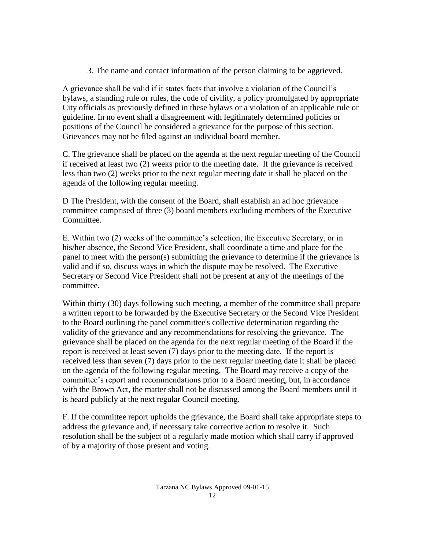3. The name and contact information of the person claiming to be aggrieved.

A grievance shall be valid if it states facts that involve a violation of the Council's bylaws, a standing rule or rules, the code of civility, a policy promulgated by appropriate City officials as previously defined in these bylaws or a violation of an applicable rule or guideline. In no event shall a disagreement with legitimately determined policies or positions of the Council be considered a grievance for the purpose of this section. Grievances may not be filed against an individual board member.

C. The grievance shall be placed on the agenda at the next regular meeting of the Council if received at least two (2) weeks prior to the meeting date. If the grievance is received less than two (2) weeks prior to the next regular meeting date it shall be placed on the agenda of the following regular meeting.

D The President, with the consent of the Board, shall establish an ad hoc grievance committee comprised of three (3) board members excluding members of the Executive Committee.

E. Within two (2) weeks of the committee's selection, the Executive Secretary, or in his/her absence, the Second Vice President, shall coordinate a time and place for the panel to meet with the person(s) submitting the grievance to determine if the grievance is valid and if so, discuss ways in which the dispute may be resolved. The Executive Secretary or Second Vice President shall not be present at any of the meetings of the committee.

Within thirty (30) days following such meeting, a member of the committee shall prepare a written report to be forwarded by the Executive Secretary or the Second Vice President to the Board outlining the panel committee's collective determination regarding the validity of the grievance and any recommendations for resolving the grievance. The grievance shall be placed on the agenda for the next regular meeting of the Board if the report is received at least seven (7) days prior to the meeting date. If the report is received less than seven (7) days prior to the next regular meeting date it shall be placed on the agenda of the following regular meeting. The Board may receive a copy of the committee's report and recommendations prior to a Board meeting, but, in accordance with the Brown Act, the matter shall not be discussed among the Board members until it is heard publicly at the next regular Council meeting.

F. If the committee report upholds the grievance, the Board shall take appropriate steps to address the grievance and, if necessary take corrective action to resolve it. Such resolution shall be the subject of a regularly made motion which shall carry if approved of by a majority of those present and voting.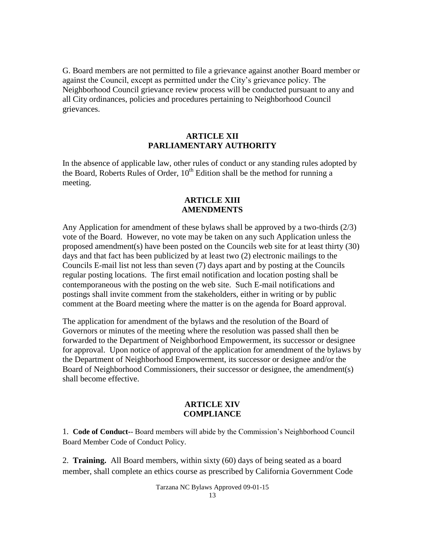G. Board members are not permitted to file a grievance against another Board member or against the Council, except as permitted under the City's grievance policy. The Neighborhood Council grievance review process will be conducted pursuant to any and all City ordinances, policies and procedures pertaining to Neighborhood Council grievances.

### **ARTICLE XII PARLIAMENTARY AUTHORITY**

In the absence of applicable law, other rules of conduct or any standing rules adopted by the Board, Roberts Rules of Order,  $10^{th}$  Edition shall be the method for running a meeting.

#### **ARTICLE XIII AMENDMENTS**

Any Application for amendment of these bylaws shall be approved by a two-thirds (2/3) vote of the Board. However, no vote may be taken on any such Application unless the proposed amendment(s) have been posted on the Councils web site for at least thirty (30) days and that fact has been publicized by at least two (2) electronic mailings to the Councils E-mail list not less than seven (7) days apart and by posting at the Councils regular posting locations. The first email notification and location posting shall be contemporaneous with the posting on the web site. Such E-mail notifications and postings shall invite comment from the stakeholders, either in writing or by public comment at the Board meeting where the matter is on the agenda for Board approval.

The application for amendment of the bylaws and the resolution of the Board of Governors or minutes of the meeting where the resolution was passed shall then be forwarded to the Department of Neighborhood Empowerment, its successor or designee for approval. Upon notice of approval of the application for amendment of the bylaws by the Department of Neighborhood Empowerment, its successor or designee and/or the Board of Neighborhood Commissioners, their successor or designee, the amendment(s) shall become effective.

#### **ARTICLE XIV COMPLIANCE**

1. **Code of Conduct-**- Board members will abide by the Commission's Neighborhood Council Board Member Code of Conduct Policy.

2. **Training.** All Board members, within sixty (60) days of being seated as a board member, shall complete an ethics course as prescribed by California Government Code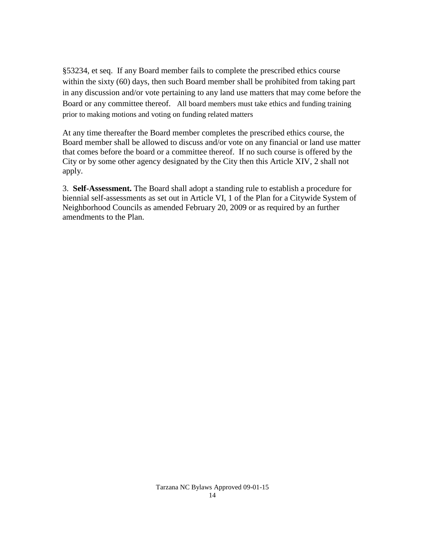§53234, et seq. If any Board member fails to complete the prescribed ethics course within the sixty (60) days, then such Board member shall be prohibited from taking part in any discussion and/or vote pertaining to any land use matters that may come before the Board or any committee thereof. All board members must take ethics and funding training prior to making motions and voting on funding related matters

At any time thereafter the Board member completes the prescribed ethics course, the Board member shall be allowed to discuss and/or vote on any financial or land use matter that comes before the board or a committee thereof. If no such course is offered by the City or by some other agency designated by the City then this Article XIV, 2 shall not apply.

3. **Self-Assessment.** The Board shall adopt a standing rule to establish a procedure for biennial self-assessments as set out in Article VI, 1 of the Plan for a Citywide System of Neighborhood Councils as amended February 20, 2009 or as required by an further amendments to the Plan.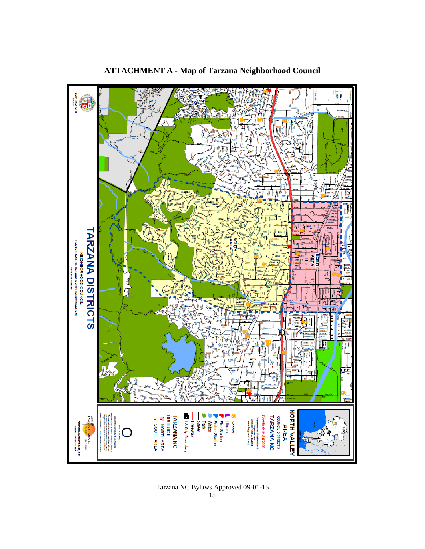

# **ATTACHMENT A - Map of Tarzana Neighborhood Council**

Tarzana NC Bylaws Approved 09-01-15 15